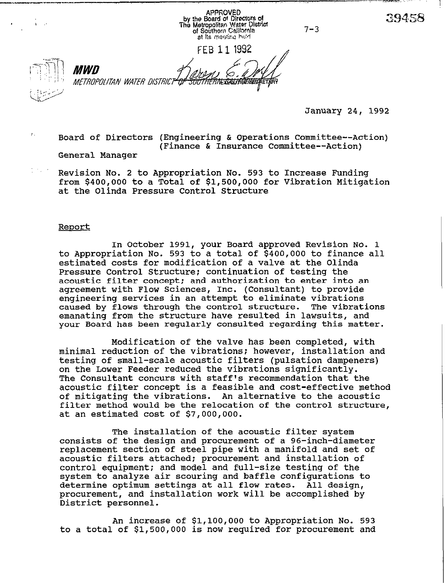APPROVED<br>by the Board of Directors of<br>The Metropolitan Water District<br>of Southern California at its mealing hald

 $7 - 3$ 

FEB 1 1 1992



MWN METROPOLITAN WATER DISTRICT<del>' QI</del> *SOUTHERNEXEAUNTOPIEta* 

January 24, 1992

39458

 $\%$  Board of Directors (Engineering & Operations Committee--Action) (Finance & Insurance Committee--Action)

General Manager

Revision No. 2 to Appropriation No. 593 to Increase Funding from \$400,000 to a Total of \$1,500,000 for Vibration Mitigation at the Olinda Pressure Control Structure

### **Report**

In October 1991, your Board approved Revision No. 1 to Appropriation No. 593 to a total of \$400,000 to finance all estimated costs for modification of a valve at the Olinda Pressure Control Structure: continuation of testing the acoustic filter concept: and authorization to enter into an agreement with Flow Sciences, Inc. (Consultant) to provide engineering services in an attempt to eliminate vibrations caused by flows through the control structure. The vibrations emanating from the structure have resulted in lawsuits, and your Board has been regularly consulted regarding this matter.

Modification of the valve has been completed, with minimal reduction of the vibrations; however, installation and testing of small-scale acoustic filters (pulsation dampeners) on the Lower Feeder reduced the vibrations significantly. The Consultant concurs with staff's recommendation that the acoustic filter concept is a feasible and cost-effective method of mitigating the vibrations. An alternative to the acoustic filter method would be the relocation of the control structure, at an estimated cost of \$7,000,000.

The installation of the acoustic filter system consists of the design and procurement of a 96-inch-diameter replacement section of steel pipe with a manifold and set of acoustic filters attached: procurement and installation of control equipment; and model and full-size testing of the system to analyze air scouring and baffle configurations to determine optimum settings at all flow rates. All design, procurement, and installation work will be accomplished by District personnel.

An increase of \$l,lOO,OOO to Appropriation No. 593 to a total of \$1,500,000 is now required for procurement and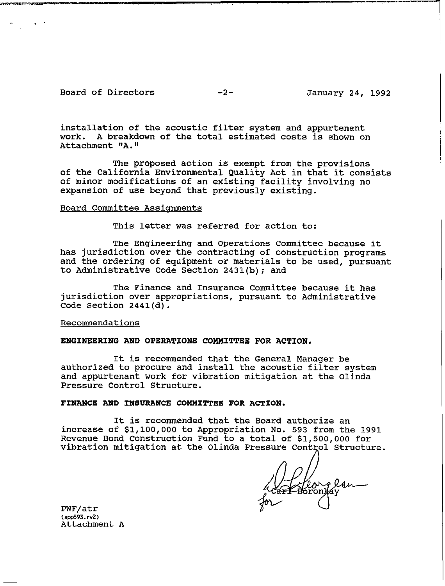## Board of Directors -2- January 24, 1992

.

installation of the acoustic filter system and appurtenant work. A breakdown of the total estimated costs is shown on Attachment "A."

The proposed action is exempt from the provisions of the California Environmental Quality Act in that it consists of minor modifications of an existing facility involving no expansion of use beyond that previously existing.

#### Board Committee Assignments

This letter was referred for action to:

The Engineering and Operations Committee because it has jurisdiction over the contracting of construction programs and the ordering of equipment or materials to be used, pursuant to Administrative Code Section 2431(b); and

The Finance and Insurance Committee because it has jurisdiction over appropriations, pursuant to Administrative Code Section 2441(d).

#### Recommendations

### ENGINEERING AND OPERATIONS COMMITTEE FOR ACTION.

It is recommended that the General Manager be authorized to procure and install the acoustic filter system and appurtenant work for vibration mitigation at the Olinda Pressure Control Structure.

#### FINANCE AND INSURANCE COMMITTEE FOR ACTION.

It is recommended that the Board authorize an increase of \$l,lOO,OOO to Appropriation No. 593 from the 1991 Revenue Bond Construction Fund to a total of \$1,500,000 for vibration mitigation at the Olinda Pressure Control Structure.

Herrolsn

PWF/atr (aw593.rv2) Attachment A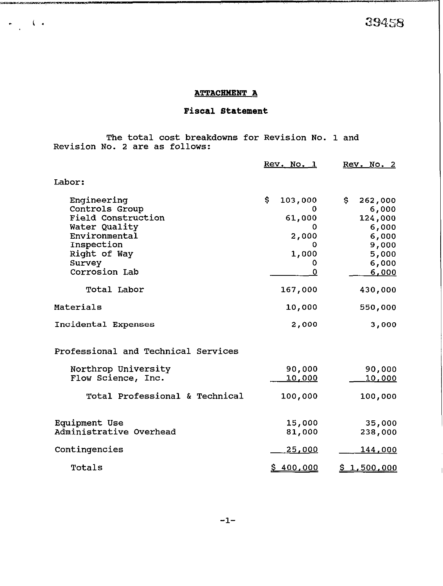39458

## **ATTACHMENT A**

# Fiscal Statement

The total cost breakdowns for Revision No. 1 and Revision No. 2 are as follows:

**DET DE MARKET DE REGISTER ET LA PORTUGALITAT DE LA POLITIKA EN LA POLITIKA EN LA POLITIKA EN LA POLITIKA EN LA** 

 $\begin{array}{c} \bullet \\ \bullet \\ \bullet \end{array} \qquad \begin{array}{c} \bullet \\ \bullet \\ \bullet \end{array}$ 

|                                                                                                                                                       | Rev. No. 1                                                     | Rev. No. 2                                                                               |
|-------------------------------------------------------------------------------------------------------------------------------------------------------|----------------------------------------------------------------|------------------------------------------------------------------------------------------|
| Labor:                                                                                                                                                |                                                                |                                                                                          |
| Engineering<br>Controls Group<br><b>Field Construction</b><br>Water Quality<br>Environmental<br>Inspection<br>Right of Way<br>Survey<br>Corrosion Lab | \$.<br>103,000<br>61,000<br>0<br>2,000<br>0<br>1,000<br>0<br>0 | \$.<br>262,000<br>6,000<br>124,000<br>6,000<br>6,000<br>9,000<br>5,000<br>6,000<br>6,000 |
| Total Labor                                                                                                                                           | 167,000                                                        | 430,000                                                                                  |
| Materials                                                                                                                                             | 10,000                                                         | 550,000                                                                                  |
| Incidental Expenses                                                                                                                                   | 2,000                                                          | 3,000                                                                                    |
| Professional and Technical Services                                                                                                                   |                                                                |                                                                                          |
| Northrop University<br>Flow Science, Inc.                                                                                                             | 90,000<br><u>10,000</u>                                        | 90,000<br>10,000                                                                         |
| Total Professional & Technical                                                                                                                        | 100,000                                                        | 100,000                                                                                  |
| Equipment Use<br>Administrative Overhead                                                                                                              | 15,000<br>81,000                                               | 35,000<br>238,000                                                                        |
| Contingencies                                                                                                                                         | 25,000                                                         | <u>144,000</u>                                                                           |
| Totals                                                                                                                                                | <u>\$400,000</u>                                               | <u>\$1,500,000</u>                                                                       |